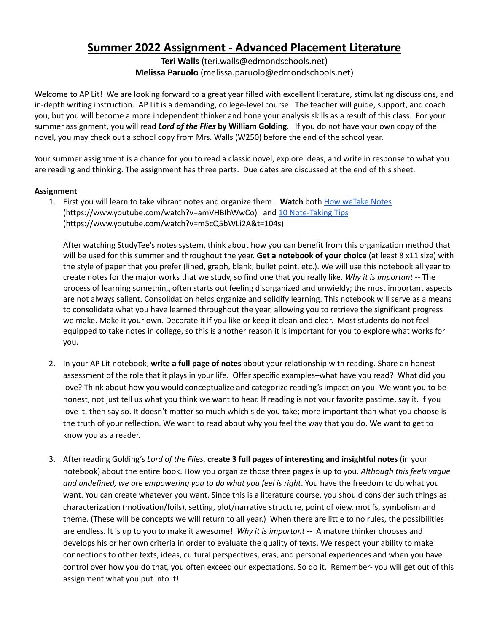# **Summer 2022 Assignment - Advanced Placement Literature**

**Teri Walls** (teri.walls@edmondschools.net) **Melissa Paruolo** (melissa.paruolo@edmondschools.net)

Welcome to AP Lit! We are looking forward to a great year filled with excellent literature, stimulating discussions, and in-depth writing instruction. AP Lit is a demanding, college-level course. The teacher will guide, support, and coach you, but you will become a more independent thinker and hone your analysis skills as a result of this class. For your summer assignment, you will read *Lord of the Flies* **by William Golding**. If you do not have your own copy of the novel, you may check out a school copy from Mrs. Walls (W250) before the end of the school year.

Your summer assignment is a chance for you to read a classic novel, explore ideas, and write in response to what you are reading and thinking. The assignment has three parts. Due dates are discussed at the end of this sheet.

### **Assignment**

1. First you will learn to take vibrant notes and organize them. Watch both How [weTake](https://www.youtube.com/watch?v=amVHBIhWwCo) Notes (https://www.youtube.com/watch?v=amVHBIhWwCo) and 10 [Note-Taking](https://www.youtube.com/watch?v=m5cQ5bWLi2A&t=104s) Tips (https://www.youtube.com/watch?v=m5cQ5bWLi2A&t=104s)

After watching StudyTee's notes system, think about how you can benefit from this organization method that will be used for this summer and throughout the year. **Get a notebook of your choice** (at least 8 x11 size) with the style of paper that you prefer (lined, graph, blank, bullet point, etc.). We will use this notebook all year to create notes for the major works that we study, so find one that you really like. *Why it is important* -- The process of learning something often starts out feeling disorganized and unwieldy; the most important aspects are not always salient. Consolidation helps organize and solidify learning. This notebook will serve as a means to consolidate what you have learned throughout the year, allowing you to retrieve the significant progress we make. Make it your own. Decorate it if you like or keep it clean and clear. Most students do not feel equipped to take notes in college, so this is another reason it is important for you to explore what works for you.

- 2. In your AP Lit notebook, **write a full page of notes** about your relationship with reading. Share an honest assessment of the role that it plays in your life. Offer specific examples–what have you read? What did you love? Think about how you would conceptualize and categorize reading's impact on you. We want you to be honest, not just tell us what you think we want to hear. If reading is not your favorite pastime, say it. If you love it, then say so. It doesn't matter so much which side you take; more important than what you choose is the truth of your reflection. We want to read about why you feel the way that you do. We want to get to know you as a reader.
- 3. After reading Golding's *Lord of the Flies*, **create 3 full pages of interesting and insightful notes** (in your notebook) about the entire book. How you organize those three pages is up to you. *Although this feels vague and undefined, we are empowering you to do what you feel is right*. You have the freedom to do what you want. You can create whatever you want. Since this is a literature course, you should consider such things as characterization (motivation/foils), setting, plot/narrative structure, point of view, motifs, symbolism and theme. (These will be concepts we will return to all year.) When there are little to no rules, the possibilities are endless. It is up to you to make it awesome! *Why it is important* **--** A mature thinker chooses and develops his or her own criteria in order to evaluate the quality of texts. We respect your ability to make connections to other texts, ideas, cultural perspectives, eras, and personal experiences and when you have control over how you do that, you often exceed our expectations. So do it. Remember- you will get out of this assignment what you put into it!